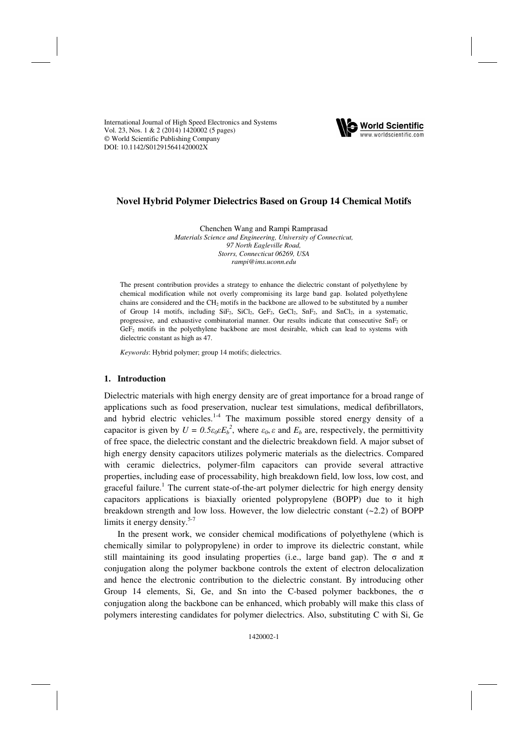International Journal of High Speed Electronics and Systems Vol. 23, Nos. 1 & 2 (2014) 1420002 (5 pages) World Scientific Publishing Company [DOI: 10.1142/S012915641420002X](http://dx.doi.org/10.1142/S012915641420002X)



# **Novel Hybrid Polymer Dielectrics Based on Group 14 Chemical Motifs**

Chenchen Wang and Rampi Ramprasad

*Materials Science and Engineering, University of Connecticut, 97 North Eagleville Road, Storrs, Connecticut 06269, USA rampi@ims.uconn.edu* 

The present contribution provides a strategy to enhance the dielectric constant of polyethylene by chemical modification while not overly compromising its large band gap. Isolated polyethylene chains are considered and the CH<sub>2</sub> motifs in the backbone are allowed to be substituted by a number of Group 14 motifs, including  $SiF_2$ ,  $SiCl_2$ ,  $GeF_2$ ,  $GeCl_2$ ,  $SnF_2$ , and  $SnCl_2$ , in a systematic, progressive, and exhaustive combinatorial manner. Our results indicate that consecutive SnF2 or GeF<sub>2</sub> motifs in the polyethylene backbone are most desirable, which can lead to systems with dielectric constant as high as 47.

*Keywords*: Hybrid polymer; group 14 motifs; dielectrics.

## **1. Introduction**

Dielectric materials with high energy density are of great importance for a broad range of applications such as food preservation, nuclear test simulations, medical defibrillators, and hybrid electric vehicles.<sup>1-4</sup> The maximum possible stored energy density of a capacitor is given by  $U = 0.5\varepsilon_0 \varepsilon E_b^2$ , where  $\varepsilon_0$ ,  $\varepsilon$  and  $E_b$  are, respectively, the permittivity of free space, the dielectric constant and the dielectric breakdown field. A major subset of high energy density capacitors utilizes polymeric materials as the dielectrics. Compared with ceramic dielectrics, polymer-film capacitors can provide several attractive properties, including ease of processability, high breakdown field, low loss, low cost, and graceful failure.<sup>1</sup> The current state-of-the-art polymer dielectric for high energy density capacitors applications is biaxially oriented polypropylene (BOPP) due to it high breakdown strength and low loss. However, the low dielectric constant (~2.2) of BOPP limits it energy density. $5-7$ 

In the present work, we consider chemical modifications of polyethylene (which is chemically similar to polypropylene) in order to improve its dielectric constant, while still maintaining its good insulating properties (i.e., large band gap). The  $\sigma$  and  $\pi$ conjugation along the polymer backbone controls the extent of electron delocalization and hence the electronic contribution to the dielectric constant. By introducing other Group 14 elements, Si, Ge, and Sn into the C-based polymer backbones, the  $\sigma$ conjugation along the backbone can be enhanced, which probably will make this class of polymers interesting candidates for polymer dielectrics. Also, substituting C with Si, Ge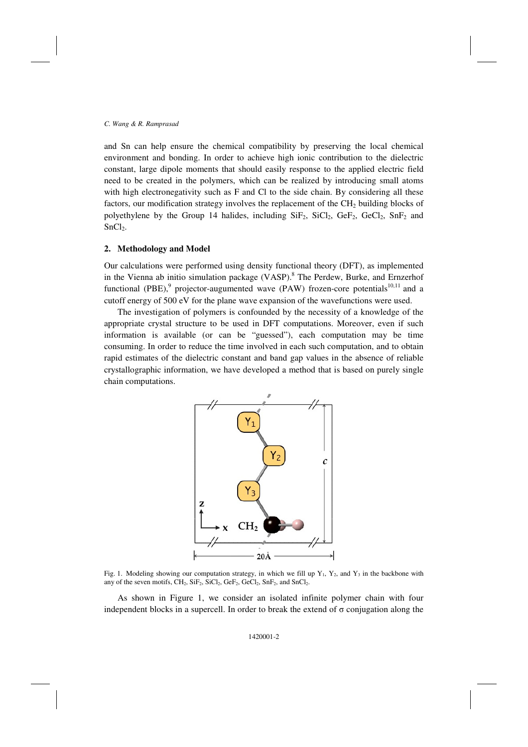and Sn can help ensure the chemical compatibility by preserving the local chemical environment and bonding. In order to achieve high ionic contribution to the dielectric constant, large dipole moments that should easily response to the applied electric field need to be created in the polymers, which can be realized by introducing small atoms with high electronegativity such as F and Cl to the side chain. By considering all these factors, our modification strategy involves the replacement of the  $CH<sub>2</sub>$  building blocks of polyethylene by the Group 14 halides, including  $SiF_2$ ,  $SiCl_2$ ,  $GeF_2$ ,  $GeCl_2$ ,  $SnF_2$  and SnCl<sub>2</sub>.

## **2. Methodology and Model**

Our calculations were performed using density functional theory (DFT), as implemented in the Vienna ab initio simulation package (VASP).<sup>8</sup> The Perdew, Burke, and Ernzerhof functional (PBE),<sup>9</sup> projector-augumented wave (PAW) frozen-core potentials<sup>10,11</sup> and a cutoff energy of 500 eV for the plane wave expansion of the wavefunctions were used.

The investigation of polymers is confounded by the necessity of a knowledge of the appropriate crystal structure to be used in DFT computations. Moreover, even if such information is available (or can be "guessed"), each computation may be time consuming. In order to reduce the time involved in each such computation, and to obtain rapid estimates of the dielectric constant and band gap values in the absence of reliable crystallographic information, we have developed a method that is based on purely single chain computations.



Fig. 1. Modeling showing our computation strategy, in which we fill up  $Y_1$ ,  $Y_2$ , and  $Y_3$  in the backbone with any of the seven motifs, CH<sub>2</sub>, SiF<sub>2</sub>, SiCl<sub>2</sub>, GeF<sub>2</sub>, GeCl<sub>2</sub>, SnF<sub>2</sub>, and SnCl<sub>2</sub>.

As shown in Figure 1, we consider an isolated infinite polymer chain with four independent blocks in a supercell. In order to break the extend of  $\sigma$  conjugation along the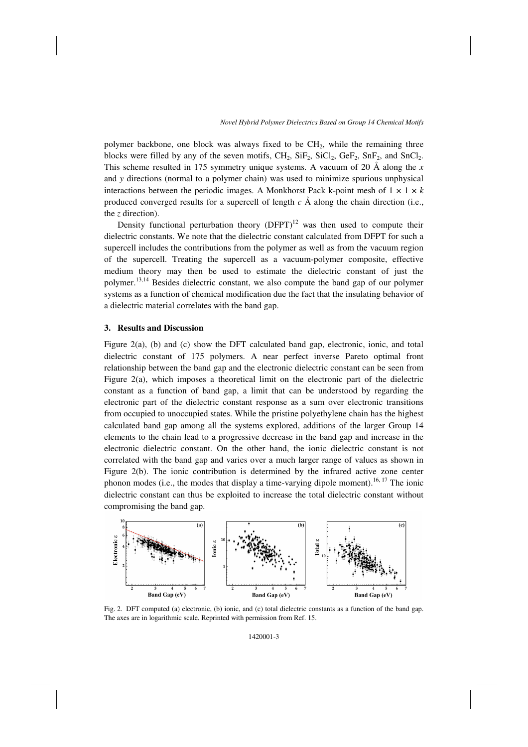polymer backbone, one block was always fixed to be  $CH<sub>2</sub>$ , while the remaining three blocks were filled by any of the seven motifs,  $CH_2$ ,  $SiF_2$ ,  $SiCl_2$ ,  $GeF_2$ ,  $SnF_2$ , and  $SnCl_2$ . This scheme resulted in 175 symmetry unique systems. A vacuum of 20 Å along the *x* and *y* directions (normal to a polymer chain) was used to minimize spurious unphysical interactions between the periodic images. A Monkhorst Pack k-point mesh of  $1 \times 1 \times k$ produced converged results for a supercell of length  $c \land$  along the chain direction (i.e., the *z* direction).

Density functional perturbation theory  $(DFPT)^{12}$  was then used to compute their dielectric constants. We note that the dielectric constant calculated from DFPT for such a supercell includes the contributions from the polymer as well as from the vacuum region of the supercell. Treating the supercell as a vacuum-polymer composite, effective medium theory may then be used to estimate the dielectric constant of just the polymer.<sup>13,14</sup> Besides dielectric constant, we also compute the band gap of our polymer systems as a function of chemical modification due the fact that the insulating behavior of a dielectric material correlates with the band gap.

#### **3. Results and Discussion**

Figure 2(a), (b) and (c) show the DFT calculated band gap, electronic, ionic, and total dielectric constant of 175 polymers. A near perfect inverse Pareto optimal front relationship between the band gap and the electronic dielectric constant can be seen from Figure 2(a), which imposes a theoretical limit on the electronic part of the dielectric constant as a function of band gap, a limit that can be understood by regarding the electronic part of the dielectric constant response as a sum over electronic transitions from occupied to unoccupied states. While the pristine polyethylene chain has the highest calculated band gap among all the systems explored, additions of the larger Group 14 elements to the chain lead to a progressive decrease in the band gap and increase in the electronic dielectric constant. On the other hand, the ionic dielectric constant is not correlated with the band gap and varies over a much larger range of values as shown in Figure 2(b). The ionic contribution is determined by the infrared active zone center phonon modes (i.e., the modes that display a time-varying dipole moment).<sup>16, 17</sup> The ionic dielectric constant can thus be exploited to increase the total dielectric constant without compromising the band gap.



Fig. 2. DFT computed (a) electronic, (b) ionic, and (c) total dielectric constants as a function of the band gap. The axes are in logarithmic scale. Reprinted with permission from Ref. 15.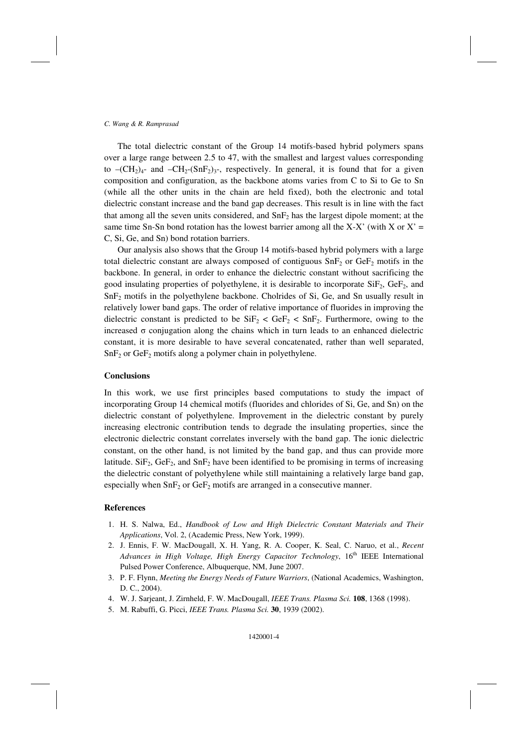#### *C. Wang & R. Ramprasad*

The total dielectric constant of the Group 14 motifs-based hybrid polymers spans over a large range between 2.5 to 47, with the smallest and largest values corresponding to  $-(CH<sub>2</sub>)<sub>4</sub>$ - and  $-CH<sub>2</sub>-(SnF<sub>2</sub>)<sub>3</sub>$ -, respectively. In general, it is found that for a given composition and configuration, as the backbone atoms varies from C to Si to Ge to Sn (while all the other units in the chain are held fixed), both the electronic and total dielectric constant increase and the band gap decreases. This result is in line with the fact that among all the seven units considered, and  $\text{SnF}_2$  has the largest dipole moment; at the same time Sn-Sn bond rotation has the lowest barrier among all the X-X' (with X or X' = C, Si, Ge, and Sn) bond rotation barriers.

Our analysis also shows that the Group 14 motifs-based hybrid polymers with a large total dielectric constant are always composed of contiguous  $\text{SnF}_2$  or  $\text{GeF}_2$  motifs in the backbone. In general, in order to enhance the dielectric constant without sacrificing the good insulating properties of polyethylene, it is desirable to incorporate  $\text{SiF}_2$ ,  $\text{GeF}_2$ , and SnF<sub>2</sub> motifs in the polyethylene backbone. Cholrides of Si, Ge, and Sn usually result in relatively lower band gaps. The order of relative importance of fluorides in improving the dielectric constant is predicted to be  $\text{SiF}_2 < \text{GeF}_2 < \text{SnF}_2$ . Furthermore, owing to the increased  $\sigma$  conjugation along the chains which in turn leads to an enhanced dielectric constant, it is more desirable to have several concatenated, rather than well separated,  $SnF<sub>2</sub>$  or GeF<sub>2</sub> motifs along a polymer chain in polyethylene.

### **Conclusions**

In this work, we use first principles based computations to study the impact of incorporating Group 14 chemical motifs (fluorides and chlorides of Si, Ge, and Sn) on the dielectric constant of polyethylene. Improvement in the dielectric constant by purely increasing electronic contribution tends to degrade the insulating properties, since the electronic dielectric constant correlates inversely with the band gap. The ionic dielectric constant, on the other hand, is not limited by the band gap, and thus can provide more latitude.  $SiF_2$ ,  $GeF_2$ , and  $SnF_2$  have been identified to be promising in terms of increasing the dielectric constant of polyethylene while still maintaining a relatively large band gap, especially when  $SnF<sub>2</sub>$  or  $GeF<sub>2</sub>$  motifs are arranged in a consecutive manner.

#### **References**

- 1. H. S. Nalwa, Ed., *Handbook of Low and High Dielectric Constant Materials and Their Applications*, Vol. 2, (Academic Press, New York, 1999).
- 2. J. Ennis, F. W. MacDougall, X. H. Yang, R. A. Cooper, K. Seal, C. Naruo, et al., *Recent Advances in High Voltage, High Energy Capacitor Technology*, 16<sup>th</sup> IEEE International Pulsed Power Conference, Albuquerque, NM, June 2007.
- 3. P. F. Flynn, *Meeting the Energy Needs of Future Warriors*, (National Academics, Washington, D. C., 2004).
- 4. W. J. Sarjeant, J. Zirnheld, F. W. MacDougall, *IEEE Trans. Plasma Sci.* **108**, 1368 (1998).
- 5. M. Rabuffi, G. Picci, *IEEE Trans. Plasma Sci.* **30**, 1939 (2002).